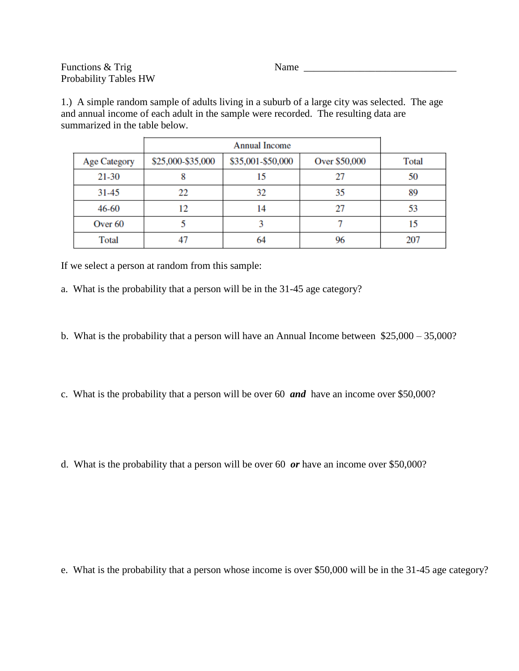Functions & Trig Name Name Name 2014 Probability Tables HW

1.) A simple random sample of adults living in a suburb of a large city was selected. The age and annual income of each adult in the sample were recorded. The resulting data are summarized in the table below.

| <b>Age Category</b> | \$25,000-\$35,000 | \$35,001-\$50,000 | Over \$50,000 | Total |
|---------------------|-------------------|-------------------|---------------|-------|
| $21 - 30$           | δ                 | 15                | 27            | 50    |
| $31 - 45$           | 22                | 32                | 35            | 89    |
| 46-60               | 12                | 14                | 27            | 53    |
| Over <sub>60</sub>  |                   |                   |               | 15    |
| Total               |                   | 64                | 96            | 207   |

If we select a person at random from this sample:

a. What is the probability that a person will be in the 31-45 age category?

b. What is the probability that a person will have an Annual Income between \$25,000 – 35,000?

c. What is the probability that a person will be over 60 *and* have an income over \$50,000?

d. What is the probability that a person will be over 60 *or* have an income over \$50,000?

e. What is the probability that a person whose income is over \$50,000 will be in the 31-45 age category?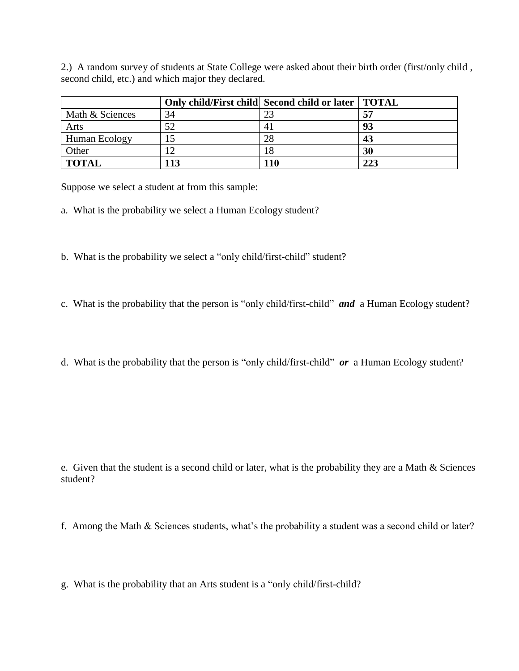2.) A random survey of students at State College were asked about their birth order (first/only child , second child, etc.) and which major they declared.

|                 |     | Only child/First child Second child or later   TOTAL |     |
|-----------------|-----|------------------------------------------------------|-----|
| Math & Sciences | 34  | 23                                                   | 57  |
| Arts            | 52  |                                                      | 93  |
| Human Ecology   |     | 28                                                   | 43  |
| Other           |     | 18                                                   | 30  |
| <b>TOTAL</b>    | 113 | 110                                                  | 223 |

Suppose we select a student at from this sample:

- a. What is the probability we select a Human Ecology student?
- b. What is the probability we select a "only child/first-child" student?
- c. What is the probability that the person is "only child/first-child" *and* a Human Ecology student?
- d. What is the probability that the person is "only child/first-child" *or* a Human Ecology student?

- e. Given that the student is a second child or later, what is the probability they are a Math & Sciences student?
- f. Among the Math & Sciences students, what's the probability a student was a second child or later?
- g. What is the probability that an Arts student is a "only child/first-child?